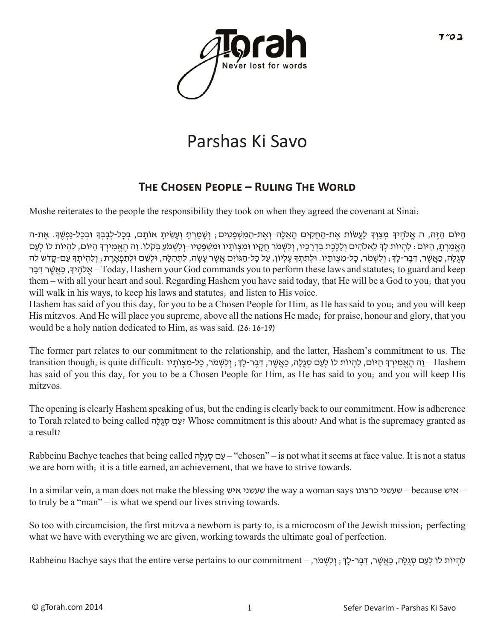

# Parshas Ki Savo

## **THE CHOSEN PEOPLE – RULING THE WORLD**

Moshe reiterates to the people the responsibility they took on when they agreed the covenant at Sinai:

ּהַיֹּוֹם הַזֶּה, ה אֱלֹהֶיךָ מְצַוְךָ לַעֲשׂוֹת אֶת-הַחָקִים הָאֵלֶה–וְאֶת-הַמִשְׁפָטִים; וְשָׁמַרְתָ וְעָשִׂיתָ אוֹתָם, בְּכָל-לְבָבְךָ וּבְכָל-נַפְשֶׁךָ. אֶת-ה הֶאֱמַרְתָּ, הַיּוֹם: לִהְיוֹת לִךְ לֵאלֹהִים וְלַלֶכֶת בִדְרָכָיו, וְלִשְׁמֹר חִקָיו וּמִצְוֹתַיו וּמִשְׁפַטָיו–וְלִשְׁמֹעַ בְּקֹלוֹ. וַה הֶאֱמִירְךָ הַיּוֹם, לִהְיוֹת לוֹ לְעַם ּסְגְלֶה, כַּאֲשֶׁר, דְּבֶר-לַךָּ; וְלִשְׁמֹר, כָּל-מִצְוֹתֵיו. וּלִתְתִּךְּ עֶלְיוֹן, עַל כָל-הַגּוֹיִם אֲשֶׁר עָשֶׂה, לְתִהְלָה, וּלְשֶׁם וּלְתִפְאֲרֶת ; וְלִהְיֹתְךָּ עַם-קָדֹש לֹה רּ ֵבּ ִדרׁ ֶש ֲאּ ַכ,ךָי ֶלהֹ ֱא–Today,HashemyourGodcommandsyoutoperformtheselawsandstatutes;toguardandkeep them – with all your heart and soul. Regarding Hashem you have said today, that He will be a God to you; that you will walk in his ways, to keep his laws and statutes; and listen to His voice.

Hashem has said of you this day, for you to be a Chosen People for Him, as He has said to you; and you will keep His mitzvos. And He will place you supreme, above all the nations He made; for praise, honour and glory, that you would be a holy nation dedicated to Him, as was said. (26:16-19)

The former part relates to our commitment to the relationship, and the latter, Hashem's commitment to us. The Hashem – וַה הֶאֱמִירְדָּ הַיּוֹם, לְהִיוֹת לוֹ לְעַם סְגִלָּה, כָּאֲשֶׁר, דְּבֶר-לָךָ; וְלִשְׁמֹר, כָּל-מִצְוֹתָיו has said of you this day, for you to be a Chosen People for Him, as He has said to you; and you will keep His mitzvos.

The opening is clearly Hashem speaking of us, but the ending is clearly back to our commitment. How is adherence to Torah related to being called יָעָם סְגִלָּה! Whose commitment is this about? And what is the supremacy granted as a result?

Rabbeinu Bachye teaches that being called  $\sim$ עם סגלה (chosen" – is not what it seems at face value. It is not a status we are born with; it is a title earned, an achievement, that we have to strive towards.

Inasimilarvein,amandoesnotmaketheblessingאיששעשניthewayawomansaysכרצונושעשני–becauseאיש– to truly be a "man" – is what we spend our lives striving towards.

So too with circumcision, the first mitzva a newborn is party to, is a microcosm of the Jewish mission; perfecting what we have with everything we are given, working towards the ultimate goal of perfection.

לִהְיוֹת לוֹ לְעַם סְגִלָּה, כַּאֲשֶׁר, דִּבֶר-לָךָ; וְלִשְׁמֹר, – Rabbeinu Bachye says that the entire verse pertains to our commitment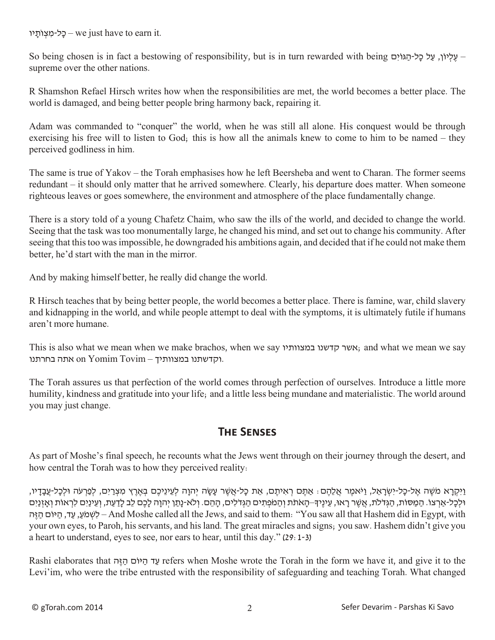כל-מצותיו – we just have to earn it.

So being chosen is in fact a bestowing of responsibility, but is in turn rewarded with being ביליון, עַל כָל-הַגּוּים supreme over the other nations.

R Shamshon Refael Hirsch writes how when the responsibilities are met, the world becomes a better place. The world is damaged, and being better people bring harmony back, repairing it.

Adam was commanded to "conquer" the world, when he was still all alone. His conquest would be through exercising his free will to listen to God; this is how all the animals knew to come to him to be named – they perceived godliness in him.

The same is true of Yakov – the Torah emphasises how he left Beersheba and went to Charan. The former seems redundant – it should only matter that he arrived somewhere. Clearly, his departure does matter. When someone righteous leaves or goes somewhere, the environment and atmosphere of the place fundamentally change.

There is a story told of a young Chafetz Chaim, who saw the ills of the world, and decided to change the world. Seeing that the task was too monumentally large, he changed his mind, and set out to change his community. After seeing that thistoo wasimpossible, he downgraded his ambitions again, and decided that if he could not make them better, he'd start with the man in the mirror.

And by making himself better, he really did change the world.

R Hirsch teaches that by being better people, the world becomes a better place. There is famine, war, child slavery and kidnapping in the world, and while people attempt to deal with the symptoms, it is ultimately futile if humans aren't more humane.

This is also what we mean when we make brachos, when we say במצוותיו קדשנו אשר ;and what we mean we say וקדשתנו במצוותיך – On Yomim Tovim אתה בחרתנו.

The Torah assures us that perfection of the world comes through perfection of ourselves. Introduce a little more humility, kindness and gratitude into your life; and a little less being mundane and materialistic. The world around you may just change.

#### **The Senses**

As part of Moshe's final speech, he recounts what the Jews went through on their journey through the desert, and how central the Torah was to how they perceived reality:

וַיִּקְרָא מֹשֶׁה אֱל-כָל-יִשְׂרָאֱל, וַיֹּאמֶר אֱלֶהֶם؛ אֲתֶם רְאִיתֶם, אֶת כָּל-אֲשֶׁר עַשָּׂה יְהוַה לְעֶינֶיכֶם בְּאֶרֶץ מִצְרַיִם, לְפַרְעֹה וּלְכָל-עֲבָדָיו, ּוּלְכָל-אַרְצוֹ. הַמַּסוֹת, הַגְּדֹלֹת, אֲשֶׁר רָאוּ, עֵינֵיךּ–הָאֹתֹת וְהַמֹּפְתִים הַגְּדֹלִים, הַהֵם. וְלֹא-נַתַן יְהוַה לַכֶם לֶב לָדַעַת, וְעֵינַיִם לִרְאוֹת וְאָזְנַיִם הּ ֶז ַה ם ֹיוּ ַה ,ד ַע , ַע ֹמׁ ְש ִל – And Moshe called all the Jews, and said to them: "You saw all that Hashem did in Egypt, with your own eyes, to Paroh, hisservants, and hisland. The great miracles and signs; you saw. Hashem didn't give you a heart to understand, eyes to see, nor ears to hear, until this day." (29:1-3)

Rashi elaborates that עד הי*וֹם* היה ד נד ביוֹם *v*efers when Moshe wrote the Torah in the form we have it, and give it to the Levi'im, who were the tribe entrusted with the responsibility of safeguarding and teaching Torah. What changed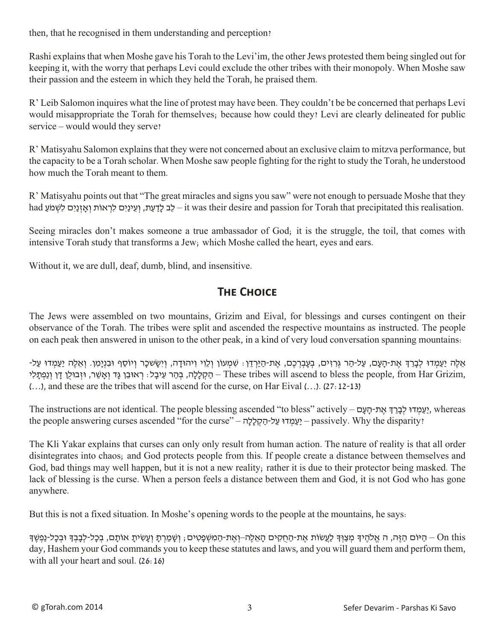then, that he recognised in them understanding and perception?

Rashi explains that when Moshe gave his Torah to the Levi'im, the other Jews protested them being singled out for keeping it, with the worry that perhaps Levi could exclude the other tribes with their monopoly. When Moshe saw their passion and the esteem in which they held the Torah, he praised them.

R' Leib Salomon inquires what the line of protest may have been. They couldn't be be concerned that perhaps Levi would misappropriate the Torah for themselves; because how could they? Levi are clearly delineated for public service – would would they serve?

R' Matisyahu Salomon explains that they were not concerned about an exclusive claim to mitzva performance, but the capacity to be a Torah scholar. When Moshe saw people fighting for the right to study the Torah, he understood how much the Torah meant to them.

R' Matisyahu points out that "The great miracles and signs you saw" were not enough to persuade Moshe that they had לְב לָדַעַת, וְעֵינַיִם לִרְאוֹת וְאָזְנַיִם לִשְׁמֹעַ – it was their desire and passion for Torah that precipitated this realisation.

Seeing miracles don't makes someone a true ambassador of God; it is the struggle, the toil, that comes with intensive Torah study that transforms a Jew; which Moshe called the heart, eyes and ears.

Without it, we are dull, deaf, dumb, blind, and insensitive.

### **The Choice**

The Jews were assembled on two mountains, Grizim and Eival, for blessings and curses contingent on their observance of the Torah. The tribes were split and ascended the respective mountains as instructed. The people on each peak then answered in unison to the other peak, in a kind of very loud conversation spanning mountains:

ּאֵלֶּה יַעַמְדוּ לְבָרֶךְ אֶת-הָעָם, עַל-הַר גְּרְזִים, בְעַבְרְכֶם, אֶת-הַיַּרְדֶן: שִׁמְעוֹן וְלֵוִי וְיהוּדַה, וְיִשָּׂשכָר וְיוֹסֵף וּבְוָיַמְן. וְאֶלֶה יַעַמְדוּ עַל-הַקָלָלָה, בְּהֵר עֵיבָל: רְאוּבֵן גֶּד וְאֵשֶׁר, וּזְבוּלֵן דַּן וְנַפְתַּלִי – These tribes will ascend to bless the people, from Har Grizim, (…), and these are the tribes that will ascend for the curse, on Har Eival (…). (27:12-13)

The instructions are not identical. The people blessing ascended "to bless" actively – יַעַמְדוּ לִבְרֵךְ אֵת-הָעָם. the people answering curses ascended "for the curse" – יַעֲמְדוּ עַל-הַקְלָלָה – "curse") – the people answering curses ascended "for the curse"

The Kli Yakar explains that curses can only only result from human action. The nature of reality is that all order disintegrates into chaos; and God protects people from this. If people create a distance between themselves and God, bad things may well happen, but it is not a new reality; rather it is due to their protector being masked. The lack of blessing is the curse. When a person feels a distance between them and God, it is not God who has gone anywhere.

But this is not a fixed situation. In Moshe's opening words to the people at the mountains, he says:

on this – הַיּוֹם הַזֶּה, ה אֱלֹהֶיךָ מְצַוְךָ לַעֲשׂוֹת אֶת-הַחְקִים הָאֱלֶה–וְאֶת-הַמְשְׁפָטִים; וְשָׁמַרְתָ וְעַשְׂיתַ אוֹתָם, בְּכָל-לִבָּבְךָ וּבְכָל-נַפְשֶׁךָ day, Hashem your God commands you to keep these statutes and laws, and you will guard them and perform them, with all your heart and soul. (26:16)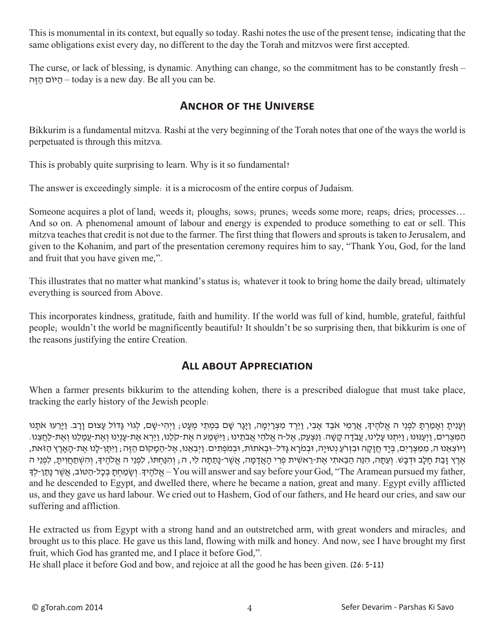This is monumental in its context, but equally so today. Rashi notes the use of the present tense; indicating that the same obligations exist every day, no different to the day the Torah and mitzvos were first accepted.

The curse, or lack of blessing, is dynamic. Anything can change, so the commitment has to be constantly fresh – היוֹם הַיָּה – today is a new day. Be all you can be.

#### **Anchor of the Universe**

Bikkurim is a fundamental mitzva. Rashi at the very beginning of the Torah notes that one of the ways the world is perpetuated is through this mitzva.

This is probably quite surprising to learn. Why is it so fundamental?

The answer is exceedingly simple: it is a microcosm of the entire corpus of Judaism.

Someone acquires a plot of land; weeds it; ploughs; sows; prunes; weeds some more; reaps; dries; processes... And so on. A phenomenal amount of labour and energy is expended to produce something to eat or sell. This mitzva teaches that credit is not due to the farmer. The first thing that flowers and sprouts is taken to Jerusalem, and given to the Kohanim, and part of the presentation ceremony requires him to say, "Thank You, God, for the land and fruit that you have given me,".

This illustrates that no matter what mankind's status is; whatever it took to bring home the daily bread; ultimately everything is sourced from Above.

This incorporates kindness, gratitude, faith and humility. If the world was full of kind, humble, grateful, faithful people; wouldn't the world be magnificently beautiful? It shouldn't be so surprising then, that bikkurim is one of the reasons justifying the entire Creation.

#### **All about Appreciation**

When a farmer presents bikkurim to the attending kohen, there is a prescribed dialogue that must take place, tracking the early history of the Jewish people:

וְעָנִיתַ וְאַמַרְתַּ לְפְנֵי ה אֱלֹהֵיךָ, אֲרַמִּי אֹבֶד אֲבִי, וַיֵּרֵד מִצְרַיְמַה, וַיַּגַן שָׁם בָּמְתֵי מְעָט; וַיְהִי-שָׁם, לְגוֹי גַּדוֹל עָצוּם וַרָב. וַיַּרְעוּ אֹתָנוּ הַמְצְרִים, וַיְעֲנּוּנוּ ; וַיְתָּנוּ עָלֵינוּ, עֲבֹדָה קַשָּׁה. וַנִּצְעָק, אֱל-ה אֱלֹהֵי אֲבֹתֵינוּ ; וַיִּשְׁמַע ה אֶת-קֹלֶנוּ, וַיַּרְא אֶת-עַנְיָנוּ וְאֶת-עֲמַלֶנוּ וְאֶת-לַחֲצֶנוּ. ַ וַיוֹצְאֵנוּ ה, מִמְצְרַיִם, בְיָד חַזָקָה וּבִזְרֹעַ נְטוּיָה, וּבִמֹרָא גָדֹל–וּבְאֹתוֹת, וּבְמֹפְתִים. וַיִּבְאֵנוּ, אֱל-הַמָּקוֹם הַזֵּה ; וַיְתֵן-לָנוּ אֵת-הָאָרֵץ הַזֹּאת, אֶרֶ זָבת חַלֶב וּדְבַש. וְעַתָּה, הַנֶּה הַבַאתִי אַת-רַאַשִּׁית פְּרִי הָאדְמַה, אַשֶּׁר-נַתַתָּה לִי, ה; וְהַנַּחְתַּוֹ, לִפְנֵי הַ אַלְהִידָּ, וְהִשִּׁתְחוִית, לִפְנֵי ה - אלהידּ. ושמחת בכל-הטוֹב, אשׁר נתו-לד – You will answer and say before your God, "The Aramean pursued my father, and he descended to Egypt, and dwelled there, where he became a nation, great and many. Egypt evilly afflicted us, and they gave us hard labour. We cried out to Hashem, God of our fathers, and He heard our cries, and saw our suffering and affliction.

He extracted us from Egypt with a strong hand and an outstretched arm, with great wonders and miracles; and brought us to this place. He gave us this land, flowing with milk and honey. And now, see I have brought my first fruit, which God has granted me, and I place it before God,".

He shall place it before God and bow, and rejoice at all the good he has been given. (26:5-11)